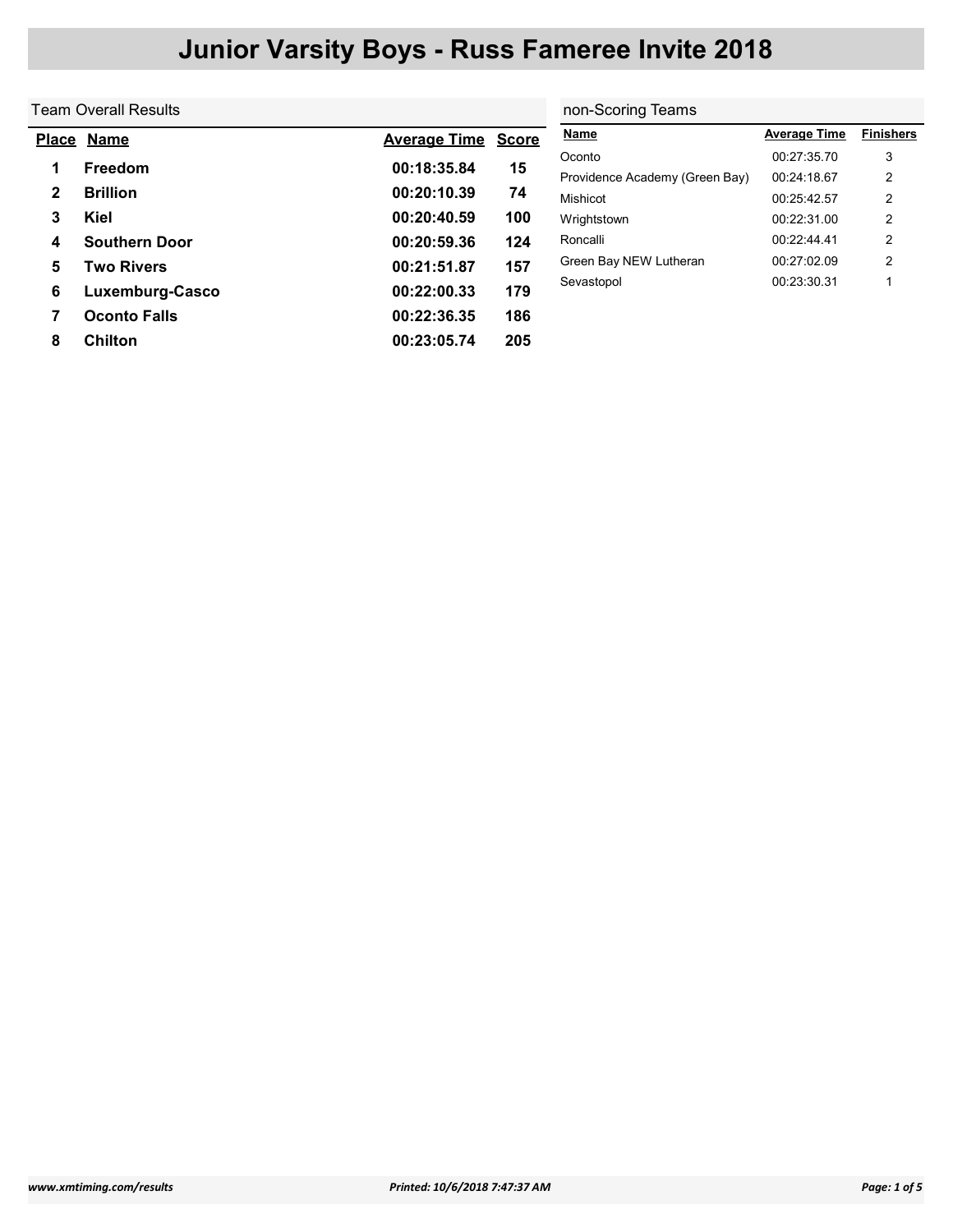| Team Overall Results        | non-Scoring Teams   |              |                                |                     |                  |
|-----------------------------|---------------------|--------------|--------------------------------|---------------------|------------------|
| <b>Name</b><br><b>Place</b> | <b>Average Time</b> | <b>Score</b> | <b>Name</b>                    | <b>Average Time</b> | <b>Finishers</b> |
|                             |                     |              | Oconto                         | 00:27:35.70         | 3                |
|                             |                     |              | Providence Academy (Green Bay) | 00:24:18.67         | 2                |
| <b>Brillion</b>             | 00:20:10.39         | 74           | Mishicot                       | 00:25:42.57         | $\overline{2}$   |
| Kiel                        | 00:20:40.59         | 100          | Wrightstown                    | 00:22:31.00         | 2                |
| <b>Southern Door</b>        | 00:20:59.36         | 124          | Roncalli                       | 00:22:44.41         | 2                |
| Two Rivers                  | 00:21:51.87         | 157          | Green Bay NEW Lutheran         | 00:27:02.09         | $\overline{2}$   |
| Luxemburg-Casco             | 00:22:00.33         | 179          | Sevastopol                     | 00:23:30.31         |                  |
| <b>Oconto Falls</b>         | 00:22:36.35         | 186          |                                |                     |                  |
| <b>Chilton</b>              | 00:23:05.74         | 205          |                                |                     |                  |
|                             | Freedom             | 00:18:35.84  | 15                             |                     |                  |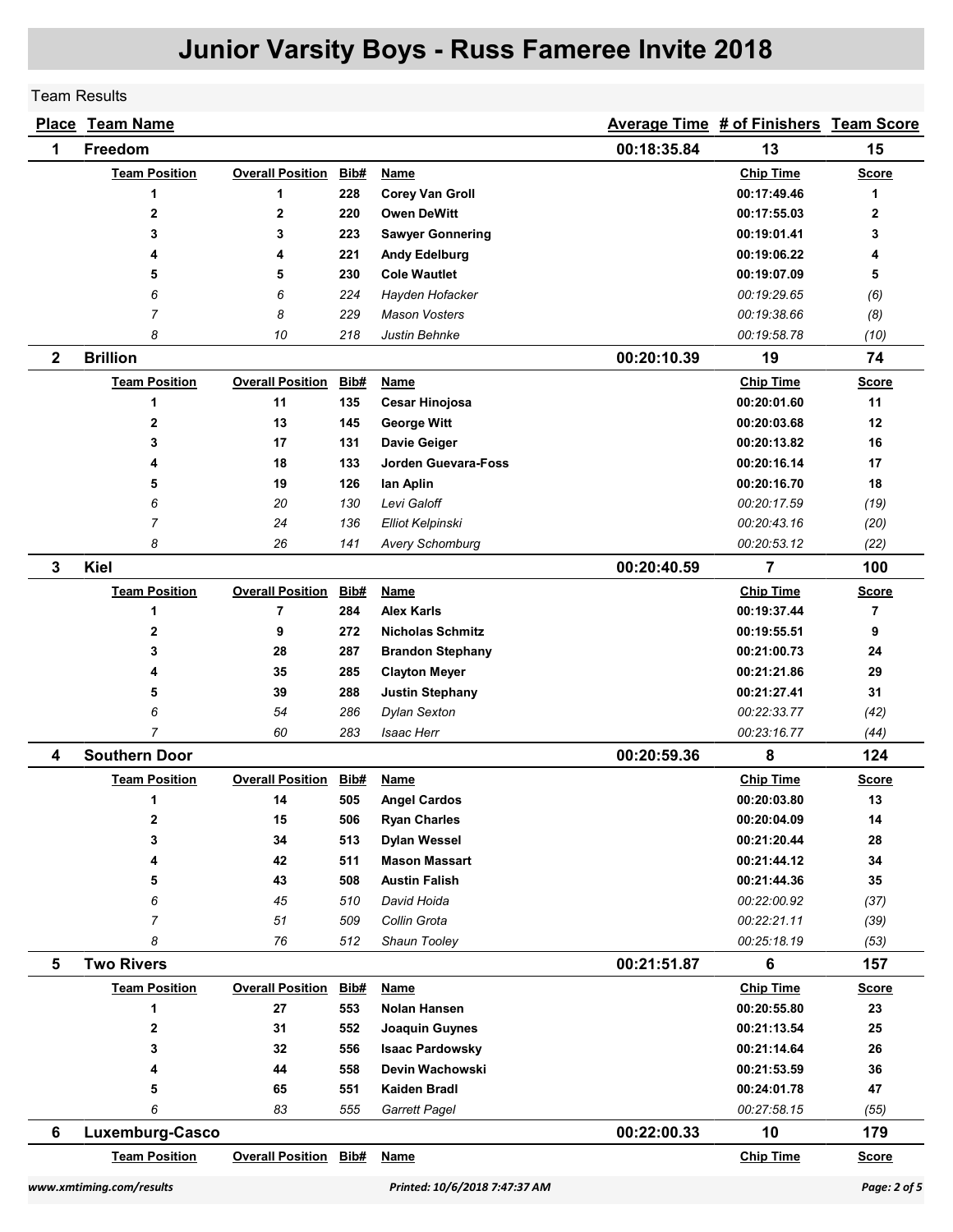### Team Results

| <b>Place</b> | <b>Team Name</b>     |                              |      |                            |             | Average Time # of Finishers Team Score |                |
|--------------|----------------------|------------------------------|------|----------------------------|-------------|----------------------------------------|----------------|
| 1            | Freedom              |                              |      |                            | 00:18:35.84 | 13                                     | 15             |
|              | <b>Team Position</b> | <b>Overall Position</b>      | Bib# | <b>Name</b>                |             | <b>Chip Time</b>                       | <b>Score</b>   |
|              | 1                    | 1                            | 228  | <b>Corey Van Groll</b>     |             | 00:17:49.46                            | 1              |
|              | 2                    | $\mathbf 2$                  | 220  | <b>Owen DeWitt</b>         |             | 00:17:55.03                            | 2              |
|              | 3                    | 3                            | 223  | <b>Sawyer Gonnering</b>    |             | 00:19:01.41                            | 3              |
|              | 4                    | 4                            | 221  | <b>Andy Edelburg</b>       |             | 00:19:06.22                            | 4              |
|              | 5                    | 5                            | 230  | <b>Cole Wautlet</b>        |             | 00:19:07.09                            | 5              |
|              | 6                    | 6                            | 224  | Hayden Hofacker            |             | 00:19:29.65                            | (6)            |
|              | $\overline{7}$       | 8                            | 229  | <b>Mason Vosters</b>       |             | 00:19:38.66                            | (8)            |
|              | 8                    | 10                           | 218  | Justin Behnke              |             | 00:19:58.78                            | (10)           |
| $\mathbf{2}$ | <b>Brillion</b>      |                              |      |                            | 00:20:10.39 | 19                                     | 74             |
|              | <b>Team Position</b> | <b>Overall Position</b>      | Bib# | <b>Name</b>                |             | <b>Chip Time</b>                       | <b>Score</b>   |
|              | 1                    | 11                           | 135  | <b>Cesar Hinojosa</b>      |             | 00:20:01.60                            | 11             |
|              | $\mathbf 2$          | 13                           | 145  | <b>George Witt</b>         |             | 00:20:03.68                            | 12             |
|              | 3                    | 17                           | 131  | Davie Geiger               |             | 00:20:13.82                            | 16             |
|              | 4                    | 18                           | 133  | <b>Jorden Guevara-Foss</b> |             | 00:20:16.14                            | 17             |
|              | 5                    | 19                           | 126  | lan Aplin                  |             | 00:20:16.70                            | 18             |
|              | 6                    | 20                           | 130  | Levi Galoff                |             | 00:20:17.59                            | (19)           |
|              | 7                    | 24                           | 136  | Elliot Kelpinski           |             | 00:20:43.16                            | (20)           |
|              | 8                    | 26                           | 141  | <b>Avery Schomburg</b>     |             | 00:20:53.12                            | (22)           |
| 3            | <b>Kiel</b>          |                              |      |                            | 00:20:40.59 | 7                                      | 100            |
|              | <b>Team Position</b> | <b>Overall Position</b>      | Bib# | <b>Name</b>                |             | <b>Chip Time</b>                       | <b>Score</b>   |
|              | 1                    | $\overline{7}$               | 284  | <b>Alex Karls</b>          |             | 00:19:37.44                            | $\overline{7}$ |
|              | 2                    | 9                            | 272  | <b>Nicholas Schmitz</b>    |             | 00:19:55.51                            | 9              |
|              | 3                    | 28                           | 287  | <b>Brandon Stephany</b>    |             | 00:21:00.73                            | 24             |
|              | 4                    | 35                           | 285  | <b>Clayton Meyer</b>       |             | 00:21:21.86                            | 29             |
|              | 5                    | 39                           | 288  | <b>Justin Stephany</b>     |             | 00:21:27.41                            | 31             |
|              | 6                    | 54                           | 286  | <b>Dylan Sexton</b>        |             | 00:22:33.77                            | (42)           |
|              | 7                    | 60                           | 283  | <b>Isaac Herr</b>          |             | 00:23:16.77                            | (44)           |
| 4            | <b>Southern Door</b> |                              |      |                            | 00:20:59.36 | 8                                      | 124            |
|              | <b>Team Position</b> | <b>Overall Position</b>      | Bib# | Name                       |             | <b>Chip Time</b>                       | <b>Score</b>   |
|              | 1                    | 14                           | 505  | <b>Angel Cardos</b>        |             | 00:20:03.80                            | 13             |
|              | 2                    | 15                           | 506  | <b>Ryan Charles</b>        |             | 00:20:04.09                            | 14             |
|              | 3                    | 34                           | 513  | <b>Dylan Wessel</b>        |             | 00:21:20.44                            | 28             |
|              | 4                    | 42                           | 511  | <b>Mason Massart</b>       |             | 00:21:44.12                            | 34             |
|              | 5                    | 43                           | 508  | <b>Austin Falish</b>       |             | 00:21:44.36                            | 35             |
|              | 6                    | 45                           | 510  | David Hoida                |             | 00:22:00.92                            | (37)           |
|              | $\overline{7}$       | 51                           | 509  | Collin Grota               |             | 00:22:21.11                            | (39)           |
|              | 8                    | 76                           | 512  | Shaun Tooley               |             | 00:25:18.19                            | (53)           |
| 5            | <b>Two Rivers</b>    |                              |      |                            | 00:21:51.87 | 6                                      | 157            |
|              | <b>Team Position</b> | <b>Overall Position</b>      | Bib# | <b>Name</b>                |             | <b>Chip Time</b>                       | <b>Score</b>   |
|              | 1                    | 27                           | 553  | Nolan Hansen               |             | 00:20:55.80                            | 23             |
|              | 2                    | 31                           | 552  | Joaquin Guynes             |             | 00:21:13.54                            | 25             |
|              | 3                    | 32                           | 556  | <b>Isaac Pardowsky</b>     |             | 00:21:14.64                            | 26             |
|              | 4                    | 44                           | 558  | Devin Wachowski            |             | 00:21:53.59                            | 36             |
|              | 5<br>6               | 65                           | 551  | Kaiden Bradl               |             | 00:24:01.78                            | 47             |
|              |                      | 83                           | 555  | Garrett Pagel              |             | 00:27:58.15                            | (55)           |
| 6            | Luxemburg-Casco      |                              |      |                            | 00:22:00.33 | 10                                     | 179            |
|              | <b>Team Position</b> | <b>Overall Position Bib#</b> |      | <b>Name</b>                |             | <b>Chip Time</b>                       | <b>Score</b>   |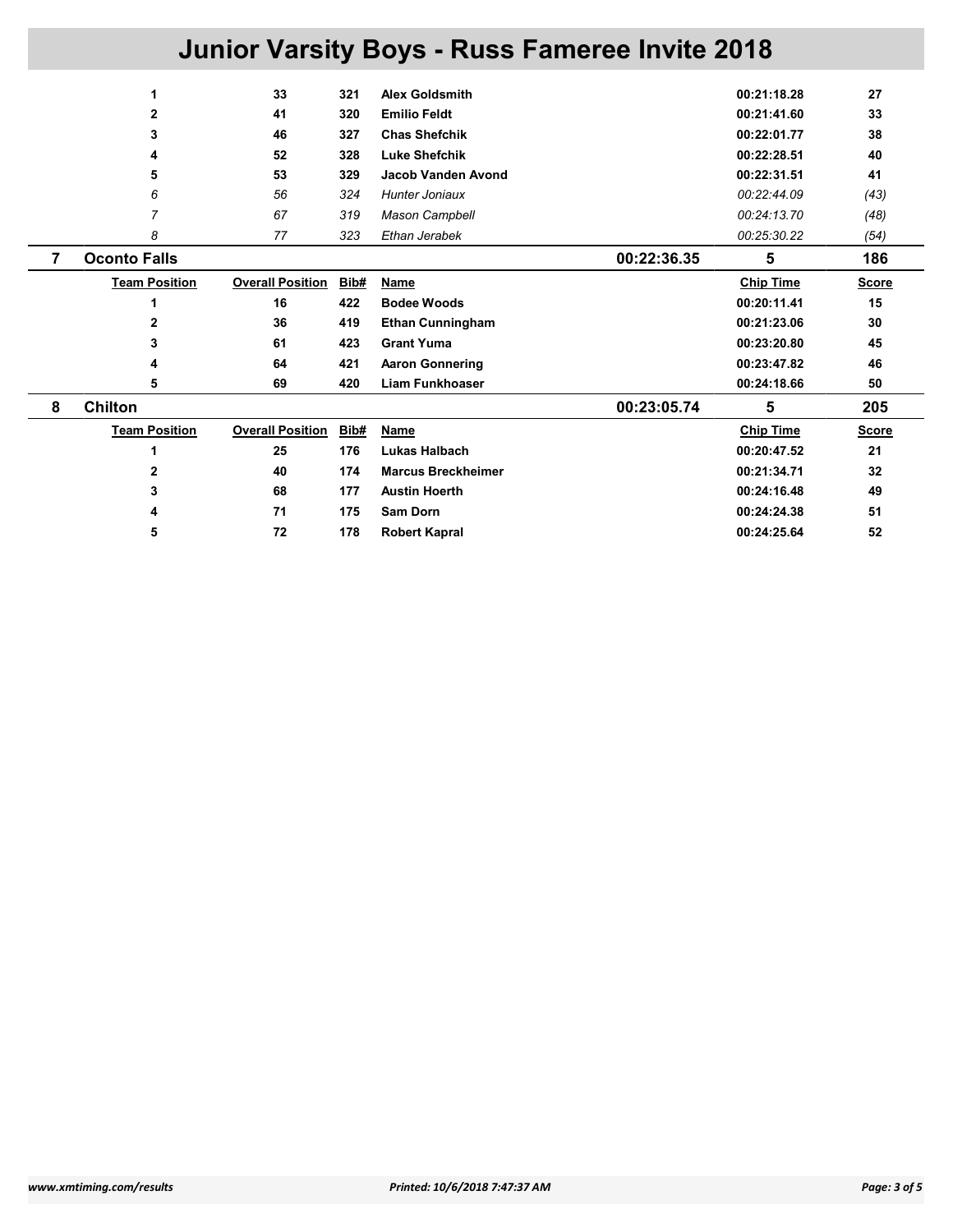| <b>Junior Varsity Boys - Russ Fameree Invite 2018</b> |                      |                         |      |                           |  |                  |              |
|-------------------------------------------------------|----------------------|-------------------------|------|---------------------------|--|------------------|--------------|
|                                                       | 1                    | 33                      | 321  | <b>Alex Goldsmith</b>     |  | 00:21:18.28      | 27           |
|                                                       | $\mathbf{2}$         | 41                      | 320  | <b>Emilio Feldt</b>       |  | 00:21:41.60      | 33           |
|                                                       | 3                    | 46                      | 327  | <b>Chas Shefchik</b>      |  | 00:22:01.77      | 38           |
|                                                       | 4                    | 52                      | 328  | <b>Luke Shefchik</b>      |  | 00:22:28.51      | 40           |
|                                                       | 5                    | 53                      | 329  | <b>Jacob Vanden Avond</b> |  | 00:22:31.51      | 41           |
|                                                       | 6                    | 56                      | 324  | <b>Hunter Joniaux</b>     |  | 00:22:44.09      | (43)         |
|                                                       | $\overline{7}$       | 67                      | 319  | <b>Mason Campbell</b>     |  | 00:24:13.70      | (48)         |
|                                                       | 8                    | 77                      | 323  | Ethan Jerabek             |  | 00:25:30.22      | (54)         |
| 7                                                     | <b>Oconto Falls</b>  |                         |      | 00:22:36.35               |  | 5                | 186          |
|                                                       | <b>Team Position</b> | <b>Overall Position</b> | Bib# | Name                      |  | <b>Chip Time</b> | <b>Score</b> |
|                                                       | 1                    | 16                      | 422  | <b>Bodee Woods</b>        |  | 00:20:11.41      | 15           |
|                                                       | $\overline{2}$       | 36                      | 419  | <b>Ethan Cunningham</b>   |  | 00:21:23.06      | 30           |
|                                                       | 3                    | 61                      | 423  | <b>Grant Yuma</b>         |  | 00:23:20.80      | 45           |
|                                                       | 4                    | 64                      | 421  | <b>Aaron Gonnering</b>    |  | 00:23:47.82      | 46           |
|                                                       | 5                    | 69                      | 420  | <b>Liam Funkhoaser</b>    |  | 00:24:18.66      | 50           |
| 8                                                     | <b>Chilton</b>       |                         |      | 00:23:05.74               |  | 5                | 205          |
|                                                       | <b>Team Position</b> | <b>Overall Position</b> | Bib# | Name                      |  | <b>Chip Time</b> | <b>Score</b> |
|                                                       | 1                    | 25                      | 176  | Lukas Halbach             |  | 00:20:47.52      | 21           |
|                                                       | $\mathbf{2}$         | 40                      | 174  | <b>Marcus Breckheimer</b> |  | 00:21:34.71      | 32           |
|                                                       | 3                    | 68                      | 177  | <b>Austin Hoerth</b>      |  | 00:24:16.48      | 49           |
|                                                       | 4                    | 71                      | 175  | Sam Dorn                  |  | 00:24:24.38      | 51           |
|                                                       | 5                    | 72                      | 178  | <b>Robert Kapral</b>      |  | 00:24:25.64      | 52           |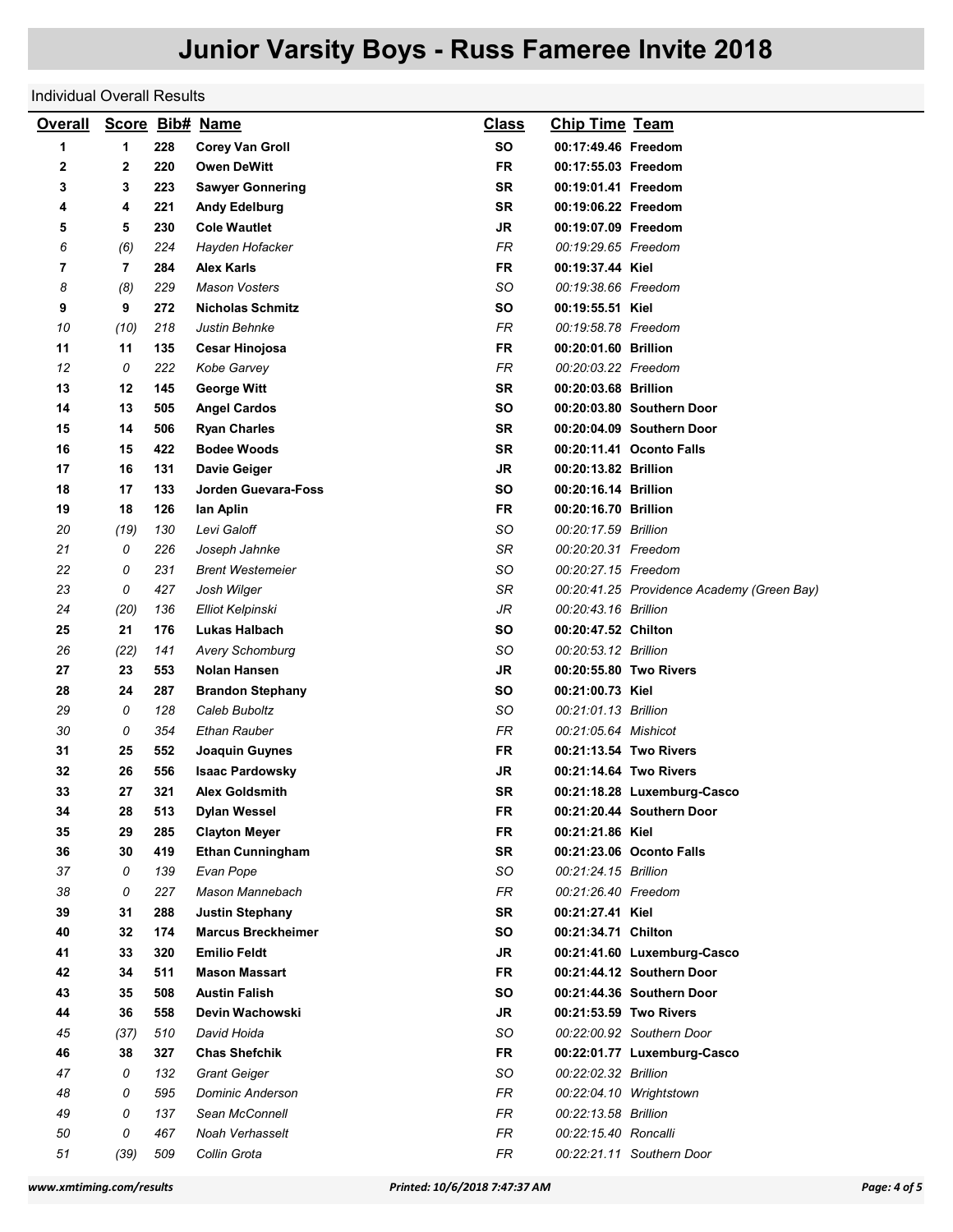### Individual Overall Results

| <b>Overall</b> |                |     | Score Bib# Name           | <b>Class</b> | <b>Chip Time Team</b>  |                                            |
|----------------|----------------|-----|---------------------------|--------------|------------------------|--------------------------------------------|
| 1              | 1              | 228 | <b>Corey Van Groll</b>    | <b>SO</b>    | 00:17:49.46 Freedom    |                                            |
| 2              | 2              | 220 | <b>Owen DeWitt</b>        | <b>FR</b>    | 00:17:55.03 Freedom    |                                            |
| 3              | 3              | 223 | <b>Sawyer Gonnering</b>   | <b>SR</b>    | 00:19:01.41 Freedom    |                                            |
| 4              | 4              | 221 | <b>Andy Edelburg</b>      | SR           | 00:19:06.22 Freedom    |                                            |
| 5              | 5              | 230 | <b>Cole Wautlet</b>       | JR           | 00:19:07.09 Freedom    |                                            |
| 6              | (6)            | 224 | Hayden Hofacker           | FR           | 00:19:29.65 Freedom    |                                            |
| 7              | $\overline{7}$ | 284 | <b>Alex Karls</b>         | <b>FR</b>    | 00:19:37.44 Kiel       |                                            |
| 8              | (8)            | 229 | <b>Mason Vosters</b>      | SO           | 00:19:38.66 Freedom    |                                            |
| 9              | 9              | 272 | <b>Nicholas Schmitz</b>   | SΟ           | 00:19:55.51 Kiel       |                                            |
| 10             | (10)           | 218 | Justin Behnke             | FR.          | 00:19:58.78 Freedom    |                                            |
| 11             | 11             | 135 | <b>Cesar Hinojosa</b>     | FR           | 00:20:01.60 Brillion   |                                            |
| 12             | 0              | 222 | Kobe Garvey               | FR           | 00:20:03.22 Freedom    |                                            |
| 13             | 12             | 145 | <b>George Witt</b>        | SR           | 00:20:03.68 Brillion   |                                            |
| 14             | 13             | 505 | <b>Angel Cardos</b>       | SΟ           |                        | 00:20:03.80 Southern Door                  |
| 15             | 14             | 506 | <b>Ryan Charles</b>       | <b>SR</b>    |                        | 00:20:04.09 Southern Door                  |
| 16             | 15             | 422 | <b>Bodee Woods</b>        | <b>SR</b>    |                        | 00:20:11.41 Oconto Falls                   |
| 17             | 16             | 131 | <b>Davie Geiger</b>       | JR           | 00:20:13.82 Brillion   |                                            |
| 18             | 17             | 133 | Jorden Guevara-Foss       | SO           | 00:20:16.14 Brillion   |                                            |
| 19             | 18             | 126 | lan Aplin                 | <b>FR</b>    | 00:20:16.70 Brillion   |                                            |
| 20             | (19)           | 130 | Levi Galoff               | SO           | 00:20:17.59 Brillion   |                                            |
| 21             | 0              | 226 | Joseph Jahnke             | SR           | 00:20:20.31 Freedom    |                                            |
| 22             | 0              | 231 | <b>Brent Westemeier</b>   | SO           | 00:20:27.15 Freedom    |                                            |
| 23             | 0              | 427 | Josh Wilger               | SR           |                        | 00:20:41.25 Providence Academy (Green Bay) |
| 24             | (20)           | 136 | Elliot Kelpinski          | JR           | 00:20:43.16 Brillion   |                                            |
| 25             | 21             | 176 | Lukas Halbach             | SΟ           | 00:20:47.52 Chilton    |                                            |
| 26             | (22)           | 141 | <b>Avery Schomburg</b>    | SO           | 00:20:53.12 Brillion   |                                            |
| 27             | 23             | 553 | Nolan Hansen              | JR           | 00:20:55.80 Two Rivers |                                            |
| 28             | 24             | 287 | <b>Brandon Stephany</b>   | SO           | 00:21:00.73 Kiel       |                                            |
| 29             | 0              | 128 | Caleb Buboltz             | SO           | 00:21:01.13 Brillion   |                                            |
| 30             | 0              | 354 | Ethan Rauber              | FR           | 00:21:05.64 Mishicot   |                                            |
| 31             | 25             | 552 | Joaquin Guynes            | FR           | 00:21:13.54 Two Rivers |                                            |
| 32             | 26             | 556 | <b>Isaac Pardowsky</b>    | JR           | 00:21:14.64 Two Rivers |                                            |
| 33             | 27             | 321 | <b>Alex Goldsmith</b>     | SR           |                        | 00:21:18.28 Luxemburg-Casco                |
| 34             | 28             | 513 | <b>Dylan Wessel</b>       | <b>FR</b>    |                        | 00:21:20.44 Southern Door                  |
| 35             | 29             | 285 | <b>Clayton Meyer</b>      | FR           | 00:21:21.86 Kiel       |                                            |
| 36             | 30             | 419 | <b>Ethan Cunningham</b>   | <b>SR</b>    |                        | 00:21:23.06 Oconto Falls                   |
| 37             | 0              | 139 | Evan Pope                 | SO           | 00:21:24.15 Brillion   |                                            |
| 38             | 0              | 227 | Mason Mannebach           | FR.          | 00:21:26.40 Freedom    |                                            |
| 39             | 31             | 288 | <b>Justin Stephany</b>    | <b>SR</b>    | 00:21:27.41 Kiel       |                                            |
| 40             | 32             | 174 | <b>Marcus Breckheimer</b> | <b>SO</b>    | 00:21:34.71 Chilton    |                                            |
| 41             | 33             | 320 | <b>Emilio Feldt</b>       | <b>JR</b>    |                        | 00:21:41.60 Luxemburg-Casco                |
| 42             | 34             | 511 | <b>Mason Massart</b>      | <b>FR</b>    |                        | 00:21:44.12 Southern Door                  |
| 43             | 35             | 508 | <b>Austin Falish</b>      | <b>SO</b>    |                        | 00:21:44.36 Southern Door                  |
| 44             | 36             | 558 | Devin Wachowski           | JR           | 00:21:53.59 Two Rivers |                                            |
| 45             | (37)           | 510 | David Hoida               | <b>SO</b>    |                        | 00:22:00.92 Southern Door                  |
| 46             | 38             | 327 | <b>Chas Shefchik</b>      | <b>FR</b>    |                        | 00:22:01.77 Luxemburg-Casco                |
| 47             | 0              | 132 | <b>Grant Geiger</b>       | SO           | 00:22:02.32 Brillion   |                                            |
| 48             | 0              | 595 | <b>Dominic Anderson</b>   | FR           |                        | 00:22:04.10 Wrightstown                    |
| 49             | 0              | 137 | Sean McConnell            | FR           | 00:22:13.58 Brillion   |                                            |
| 50             | 0              | 467 | Noah Verhasselt           | FR           | 00:22:15.40 Roncalli   |                                            |
| 51             | (39)           | 509 | Collin Grota              | FR.          |                        | 00:22:21.11 Southern Door                  |